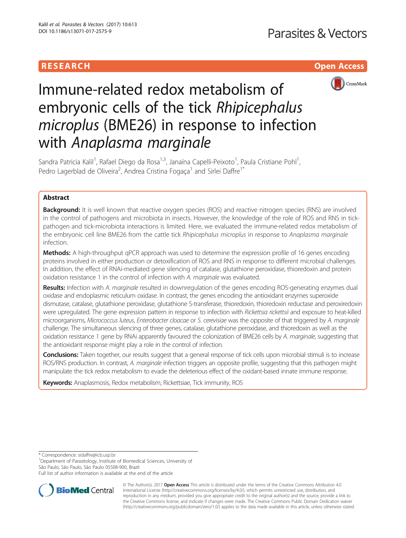# **RESEARCH CHILD CONTROL** CONTROL CONTROL CONTROL CONTROL CONTROL CONTROL CONTROL CONTROL CONTROL CONTROL CONTROL CONTROL CONTROL CONTROL CONTROL CONTROL CONTROL CONTROL CONTROL CONTROL CONTROL CONTROL CONTROL CONTROL CONTR



# Immune-related redox metabolism of embryonic cells of the tick Rhipicephalus microplus (BME26) in response to infection with Anaplasma marginale

Sandra Patricia Kalil<sup>1</sup>, Rafael Diego da Rosa<sup>1,3</sup>, Janaína Capelli-Peixoto<sup>1</sup>, Paula Cristiane Pohl<sup>1</sup> , Pedro Lagerblad de Oliveira<sup>2</sup>, Andrea Cristina Fogaça<sup>1</sup> and Sirlei Daffre<sup>1\*</sup>

# Abstract

**Background:** It is well known that reactive oxygen species (ROS) and reactive nitrogen species (RNS) are involved in the control of pathogens and microbiota in insects. However, the knowledge of the role of ROS and RNS in tickpathogen and tick-microbiota interactions is limited. Here, we evaluated the immune-related redox metabolism of the embryonic cell line BME26 from the cattle tick Rhipicephalus microplus in response to Anaplasma marginale infection.

Methods: A high-throughput qPCR approach was used to determine the expression profile of 16 genes encoding proteins involved in either production or detoxification of ROS and RNS in response to different microbial challenges. In addition, the effect of RNAi-mediated gene silencing of catalase, glutathione peroxidase, thioredoxin and protein oxidation resistance 1 in the control of infection with A. marginale was evaluated.

Results: Infection with A. marginale resulted in downregulation of the genes encoding ROS-generating enzymes dual oxidase and endoplasmic reticulum oxidase. In contrast, the genes encoding the antioxidant enzymes superoxide dismutase, catalase, glutathione peroxidase, glutathione S-transferase, thioredoxin, thioredoxin reductase and peroxiredoxin were upregulated. The gene expression pattern in response to infection with Rickettsia rickettsii and exposure to heat-killed microorganisms, Micrococcus luteus, Enterobacter cloacae or S. cerevisiae was the opposite of that triggered by A. marginale challenge. The simultaneous silencing of three genes, catalase, glutathione peroxidase, and thioredoxin as well as the oxidation resistance 1 gene by RNAi apparently favoured the colonization of BME26 cells by A. marginale, suggesting that the antioxidant response might play a role in the control of infection.

Conclusions: Taken together, our results suggest that a general response of tick cells upon microbial stimuli is to increase ROS/RNS production. In contrast, A. marginale infection triggers an opposite profile, suggesting that this pathogen might manipulate the tick redox metabolism to evade the deleterious effect of the oxidant-based innate immune response.

Keywords: Anaplasmosis, Redox metabolism, Rickettsiae, Tick immunity, ROS

\* Correspondence: [sidaffre@icb.usp.br](mailto:sidaffre@icb.usp.br) <sup>1</sup>

<sup>1</sup>Department of Parasitology, Institute of Biomedical Sciences, University of São Paulo, São Paulo, São Paulo 05508-900, Brazil

Full list of author information is available at the end of the article



© The Author(s). 2017 **Open Access** This article is distributed under the terms of the Creative Commons Attribution 4.0 International License [\(http://creativecommons.org/licenses/by/4.0/](http://creativecommons.org/licenses/by/4.0/)), which permits unrestricted use, distribution, and reproduction in any medium, provided you give appropriate credit to the original author(s) and the source, provide a link to the Creative Commons license, and indicate if changes were made. The Creative Commons Public Domain Dedication waiver [\(http://creativecommons.org/publicdomain/zero/1.0/](http://creativecommons.org/publicdomain/zero/1.0/)) applies to the data made available in this article, unless otherwise stated.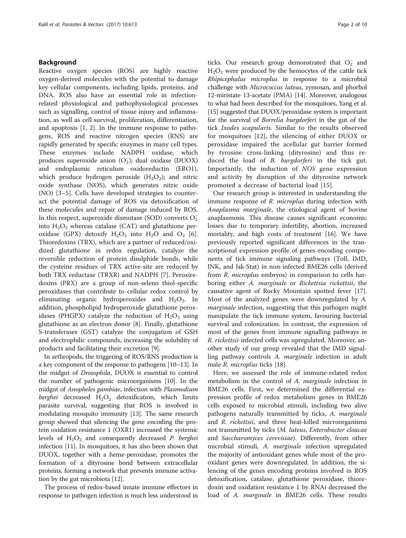# Background

Reactive oxygen species (ROS) are highly reactive oxygen-derived molecules with the potential to damage key cellular components, including lipids, proteins, and DNA. ROS also have an essential role in infectionrelated physiological and pathophysiological processes such as signalling, control of tissue injury and inflammation, as well as cell survival, proliferation, differentiation, and apoptosis [[1, 2](#page-9-0)]. In the immune response to pathogens, ROS and reactive nitrogen species (RNS) are rapidly generated by specific enzymes in many cell types. These enzymes include NADPH oxidase, which produces superoxide anion  $(O_2^-)$ ; dual oxidase (DUOX) and endoplasmic reticulum oxidoreductin (ERO1), which produce hydrogen peroxide  $(H_2O_2)$ ; and nitric oxide synthase (NOS), which generates nitric oxide (NO) [\[3](#page-9-0)–[5\]](#page-9-0). Cells have developed strategies to counteract the potential damage of ROS via detoxification of these molecules and repair of damage induced by ROS. In this respect, superoxide dismutase (SOD) converts  $O_2^$ into  $H_2O_2$  whereas catalase (CAT) and glutathione peroxidase (GPX) detoxify  $H_2O_2$  into  $H_2O$  and  $O_2$  [\[6](#page-9-0)]. Thioredoxins (TRX), which are a partner of reduced/oxidized glutathione in redox regulation, catalyze the reversible reduction of protein disulphide bonds, while the cysteine residues of TRX active-site are reduced by both TRX reductase (TRXR) and NADPH [[7\]](#page-9-0). Peroxiredoxins (PRX) are a group of non-seleno thiol-specific peroxidases that contribute to cellular redox control by eliminating organic hydroperoxides and  $H_2O_2$ . In addition, phospholipid hydroperoxide glutathione peroxidases (PHGPX) catalyze the reduction of  $H_2O_2$  using glutathione as an electron donor [\[8](#page-9-0)]. Finally, glutathione S-transferases (GST) catalyze the conjugation of GSH and electrophilic compounds, increasing the solubility of products and facilitating their excretion [\[9](#page-9-0)].

In arthropods, the triggering of ROS/RNS production is a key component of the response to pathogens [\[10](#page-9-0)–[13](#page-9-0)]. In the midgut of Drosophila, DUOX is essential to control the number of pathogenic microorganisms [[10](#page-9-0)]. In the midgut of Anopheles gambiae, infection with Plasmodium berghei decreased  $H_2O_2$  detoxification, which limits parasite survival, suggesting that ROS is involved in modulating mosquito immunity [\[13\]](#page-9-0). The same research group showed that silencing the gene encoding the protein oxidation resistance 1 (OXR1) increased the systemic levels of  $H_2O_2$  and consequently decreased P. berghei infection [\[11\]](#page-9-0). In mosquitoes, it has also been shown that DUOX, together with a heme-peroxidase, promotes the formation of a dityrosine bond between extracellular proteins, forming a network that prevents immune activation by the gut microbiota [\[12\]](#page-9-0).

The process of redox-based innate immune effectors in response to pathogen infection is much less understood in

ticks. Our research group demonstrated that  $O_2^-$  and  $H_2O_2$  were produced by the hemocytes of the cattle tick Rhipicephalus microplus in response to a microbial challenge with Micrococcus luteus, zymosan, and phorbol 12-miristate 13-acetate (PMA) [[14](#page-9-0)]. Moreover, analogous to what had been described for the mosquitoes, Yang et al. [[15](#page-9-0)] suggested that DUOX/peroxidase system is important for the survival of Borrelia burgdorferi in the gut of the tick Ixodes scapularis. Similar to the results observed for mosquitoes [\[12](#page-9-0)], the silencing of either DUOX or peroxidase impaired the acellular gut barrier formed by tyrosine cross-linking (dityrosine) and thus reduced the load of B. burgdorferi in the tick gut. Importantly, the induction of NOS gene expression and activity by disruption of the dityrosine network promoted a decrease of bacterial load [[15\]](#page-9-0).

Our research group is interested in understanding the immune response of R. *microplus* during infection with Anaplasma marginale, the etiological agent of bovine anaplasmosis. This disease causes significant economic losses due to temporary infertility, abortion, increased mortality, and high costs of treatment [\[16\]](#page-9-0). We have previously reported significant differences in the transcriptional expression profile of genes encoding components of tick immune signaling pathways (Toll, IMD, JNK, and Jak-Stat) in non-infected BME26 cells (derived from R. *microplus* embryos) in comparison to cells harboring either A. marginale or Rickettsia rickettsii, the causative agent of Rocky Mountain spotted fever [\[17](#page-9-0)]. Most of the analyzed genes were downregulated by A. marginale infection, suggesting that this pathogen might manipulate the tick immune system, favouring bacterial survival and colonization. In contrast, the expression of most of the genes from immune signalling pathways in R. rickettsii-infected cells was upregulated. Moreover, another study of our group revealed that the IMD signalling pathway controls A. marginale infection in adult male *R. microplus* ticks [[18\]](#page-9-0).

Here, we assessed the role of immune-related redox metabolism in the control of A. marginale infection in BME26 cells. First, we determined the differential expression profile of redox metabolism genes in BME26 cells exposed to microbial stimuli, including two alive pathogens naturally transmitted by ticks, A. marginale and R. rickettsii, and three heat-killed microorganisms not transmitted by ticks (M. luteus, Enterobacter cloacae and Saccharomyces cerevisiae). Differently, from other microbial stimuli, A. marginale infection upregulated the majority of antioxidant genes while most of the prooxidant genes were downregulated. In addition, the silencing of the genes encoding proteins involved in ROS detoxification, catalase, glutathione peroxidase, thioredoxin and oxidation resistance 1 by RNAi decreased the load of A. marginale in BME26 cells. These results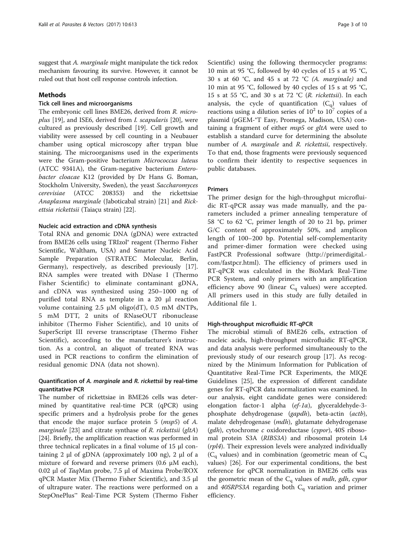suggest that A. marginale might manipulate the tick redox mechanism favouring its survive. However, it cannot be ruled out that host cell response controls infection.

## Methods

#### Tick cell lines and microorganisms

The embryonic cell lines BME26, derived from R. microplus [[19\]](#page-9-0), and ISE6, derived from I. scapularis [[20\]](#page-9-0), were cultured as previously described [\[19](#page-9-0)]. Cell growth and viability were assessed by cell counting in a Neubauer chamber using optical microscopy after trypan blue staining. The microorganisms used in the experiments were the Gram-positive bacterium Micrococcus luteus (ATCC 9341A), the Gram-negative bacterium Enterobacter cloacae K12 (provided by Dr Hans G. Boman, Stockholm University, Sweden), the yeast Saccharomyces cerevisiae (ATCC 208353) and the rickettsiae Anaplasma marginale (Jaboticabal strain) [[21](#page-9-0)] and Rickettsia rickettsii (Taiaçu strain) [\[22](#page-9-0)].

# Nucleic acid extraction and cDNA synthesis

Total RNA and genomic DNA (gDNA) were extracted from BME26 cells using TRIzol® reagent (Thermo Fisher Scientific, Waltham, USA) and Smarter Nucleic Acid Sample Preparation (STRATEC Molecular, Berlin, Germany), respectively, as described previously [\[17](#page-9-0)]. RNA samples were treated with DNase I (Thermo Fisher Scientific) to eliminate contaminant gDNA, and cDNA was synthesized using 250–1000 ng of purified total RNA as template in a 20 μl reaction volume containing 2.5 μM oligo(dT), 0.5 mM dNTPs, 5 mM DTT, 2 units of RNaseOUT ribonuclease inhibitor (Thermo Fisher Scientific), and 10 units of SuperScript III reverse transcriptase (Thermo Fisher Scientific), according to the manufacturer's instruction. As a control, an aliquot of treated RNA was used in PCR reactions to confirm the elimination of residual genomic DNA (data not shown).

### Quantification of A. marginale and R. rickettsii by real-time quantitative PCR

The number of rickettsiae in BME26 cells was determined by quantitative real-time PCR (qPCR) using specific primers and a hydrolysis probe for the genes that encode the major surface protein  $5 \, (msp5)$  of A. *marginale* [[23](#page-9-0)] and citrate synthase of  $R$ . *rickettsii* ( $gltA$ ) [[24\]](#page-9-0). Briefly, the amplification reaction was performed in three technical replicates in a final volume of 15 μl containing 2 μl of gDNA (approximately 100 ng), 2 μl of a mixture of forward and reverse primers (0.6 μM each), 0.02 μl of TaqMan probe, 7.5 μl of Maxima Probe/ROX qPCR Master Mix (Thermo Fisher Scientific), and 3.5 μl of ultrapure water. The reactions were performed on a StepOnePlus™ Real-Time PCR System (Thermo Fisher

Scientific) using the following thermocycler programs: 10 min at 95 °C, followed by 40 cycles of 15 s at 95 °C, 30 s at 60 °C, and 45 s at 72 °C (A. marginale) and 10 min at 95 °C, followed by 40 cycles of 15 s at 95 °C, 15 s at 55 °C, and 30 s at 72 °C (R. rickettsii). In each analysis, the cycle of quantification  $(C_q)$  values of reactions using a dilution series of  $10^2$  to  $10^7$  copies of a plasmid (pGEM-®T Easy, Promega, Madison, USA) containing a fragment of either *msp5* or *gltA* were used to establish a standard curve for determining the absolute number of A. marginale and R. rickettsii, respectively. To that end, those fragments were previously sequenced to confirm their identity to respective sequences in public databases.

#### Primers

The primer design for the high-throughput microfluidic RT-qPCR assay was made manually, and the parameters included a primer annealing temperature of 58 °C to 62 °C, primer length of 20 to 21 bp, primer G/C content of approximately 50%, and amplicon length of 100–200 bp. Potential self-complementarity and primer-dimer formation were checked using FastPCR Professional software ([http://primerdigital.](http://primerdigital.com/fastpcr.html) [com/fastpcr.html](http://primerdigital.com/fastpcr.html)). The efficiency of primers used in RT-qPCR was calculated in the BioMark Real-Time PCR System, and only primers with an amplification efficiency above 90 (linear  $C_q$  values) were accepted. All primers used in this study are fully detailed in Additional file [1](#page-8-0).

# High-throughput microfluidic RT-qPCR

The microbial stimuli of BME26 cells, extraction of nucleic acids, high-throughput microfluidic RT-qPCR, and data analysis were performed simultaneously to the previously study of our research group [[17\]](#page-9-0). As recognized by the Minimum Information for Publication of Quantitative Real-Time PCR Experiments, the MIQE Guidelines [\[25\]](#page-9-0), the expression of different candidate genes for RT-qPCR data normalization was examined. In our analysis, eight candidate genes were considered: elongation factor-1 alpha (ef-1α), glyceraldehyde-3 phosphate dehydrogenase (gapdh), beta-actin (actb), malate dehydrogenase (mdh), glutamate dehydrogenase (gdh), cytochrome c oxidoreductase (cypor), 40S ribosomal protein S3A (RIBS3A) and ribosomal protein L4 (rpl4). Their expression levels were analyzed individually  $(C_q$  values) and in combination (geometric mean of  $C_q$ values) [[26](#page-9-0)]. For our experimental conditions, the best reference for qPCR normalization in BME26 cells was the geometric mean of the  $C_q$  values of *mdh*, *gdh*, *cypor* and  $40$ SRPS3A regarding both  $C_q$  variation and primer efficiency.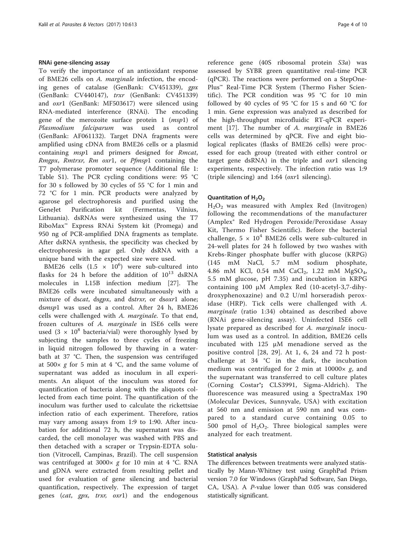## RNAi gene-silencing assay

To verify the importance of an antioxidant response of BME26 cells on A. marginale infection, the encoding genes of catalase (GenBank: CV451339), gpx (GenBank: CV440147), trxr (GenBank: CV451339) and oxr1 (GenBank: MF503617) were silenced using RNA-mediated interference (RNAi). The encoding gene of the merozoite surface protein 1 (msp1) of Plasmodium falciparum was used as control (GenBank: AF061132). Target DNA fragments were amplified using cDNA from BME26 cells or a plasmid containing *msp*1 and primers designed for *Rmcat*, Rmgpx, Rmtrxr, Rm oxr1, or Pfmsp1 containing the T7 polymerase promoter sequence (Additional file [1](#page-8-0): Table S1). The PCR cycling conditions were: 95 °C for 30 s followed by 30 cycles of 55 °C for 1 min and 72 °C for 1 min. PCR products were analyzed by agarose gel electrophoresis and purified using the GeneJet Purification kit (Fermentas, Vilnius, Lithuania). dsRNAs were synthesized using the T7 RiboMax™ Express RNAi System kit (Promega) and 950 ng of PCR-amplified DNA fragments as template. After dsRNA synthesis, the specificity was checked by electrophoresis in agar gel. Only dsRNA with a unique band with the expected size were used.

BME26 cells  $(1.5 \times 10^6)$  were sub-cultured into flasks for 24 h before the addition of  $10^{13}$  dsRNA molecules in L15B infection medium [\[27](#page-9-0)]. The BME26 cells were incubated simultaneously with a mixture of dscat, dsgpx, and dstrxr, or dsoxr1 alone; dsmsp1 was used as a control. After 24 h, BME26 cells were challenged with A. marginale. To that end, frozen cultures of A. marginale in ISE6 cells were used  $(3 \times 10^8$  bacteria/vial) were thoroughly lysed by subjecting the samples to three cycles of freezing in liquid nitrogen followed by thawing in a waterbath at 37 °C. Then, the suspension was centrifuged at  $500 \times g$  for 5 min at 4 °C, and the same volume of supernatant was added as inoculum in all experiments. An aliquot of the inoculum was stored for quantification of bacteria along with the aliquots collected from each time point. The quantification of the inoculum was further used to calculate the rickettsiae infection ratio of each experiment. Therefore, ratios may vary among assays from 1:9 to 1:90. After incubation for additional 72 h, the supernatant was discarded, the cell monolayer was washed with PBS and then detached with a scraper or Trypsin-EDTA solution (Vitrocell, Campinas, Brazil). The cell suspension was centrifuged at 3000× g for 10 min at 4 °C. RNA and gDNA were extracted from resulting pellet and used for evaluation of gene silencing and bacterial quantification, respectively. The expression of target genes (cat, gpx, trxr, oxr1) and the endogenous reference gene (40S ribosomal protein S3a) was assessed by SYBR green quantitative real-time PCR (qPCR). The reactions were performed on a StepOne-Plus™ Real-Time PCR System (Thermo Fisher Scientific). The PCR condition was 95 °C for 10 min followed by 40 cycles of 95 °C for 15 s and 60 °C for 1 min. Gene expression was analyzed as described for the high-throughput microfluidic RT-qPCR experiment [\[17](#page-9-0)]. The number of A. marginale in BME26 cells was determined by qPCR. Five and eight biological replicates (flasks of BME26 cells) were processed for each group (treated with either control or target gene dsRNA) in the triple and  $oxr1$  silencing experiments, respectively. The infection ratio was 1:9 (triple silencing) and 1:64 (oxr1 silencing).

#### Quantitation of  $H_2O_2$

 $H<sub>2</sub>O<sub>2</sub>$  was measured with Amplex Red (Invitrogen) following the recommendations of the manufacturer (Amplex® Red Hydrogen Peroxide/Peroxidase Assay Kit, Thermo Fisher Scientific). Before the bacterial challenge,  $5 \times 10^4$  BME26 cells were sub-cultured in 24-well plates for 24 h followed by two washes with Krebs-Ringer phosphate buffer with glucose (KRPG) (145 mM NaCl, 5.7 mM sodium phosphate, 4.86 mM KCl, 0.54 mM CaCl<sub>2</sub>, 1.22 mM MgSO<sub>4</sub>, 5.5 mM glucose, pH 7.35) and incubation in KRPG containing 100 μM Amplex Red (10-acetyl-3,7-dihydroxyphenoxazine) and 0.2 U/ml horseradish peroxidase (HRP). Tick cells were challenged with A. marginale (ratio 1:34) obtained as described above (RNAi gene-silencing assay). Uninfected ISE6 cell lysate prepared as described for A. marginale inoculum was used as a control. In addition, BME26 cells incubated with 125 μM menadione served as the positive control [[28](#page-9-0), [29](#page-9-0)]. At 1, 6, 24 and 72 h postchallenge at 34 °C in the dark, the incubation medium was centrifuged for 2 min at  $10000 \times g$ , and the supernatant was transferred to cell culture plates (Corning Costar®; CLS3991, Sigma-Aldrich). The fluorescence was measured using a SpectraMax 190 (Molecular Devices, Sunnyvale, USA) with excitation at 560 nm and emission at 590 nm and was compared to a standard curve containing 0.05 to 500 pmol of  $H_2O_2$ . Three biological samples were analyzed for each treatment.

### Statistical analysis

The differences between treatments were analyzed statistically by Mann-Whitney test using GraphPad Prism version 7.0 for Windows (GraphPad Software, San Diego, CA, USA). A P-value lower than 0.05 was considered statistically significant.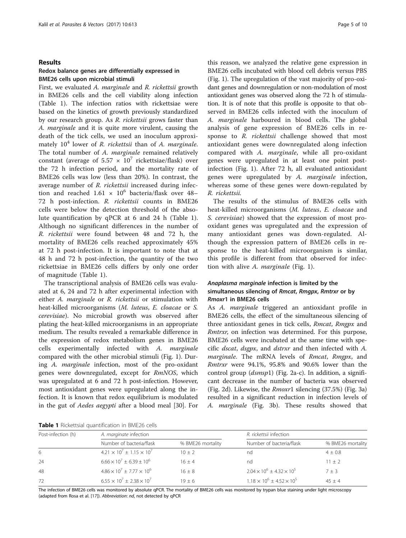#### Results

### Redox balance genes are differentially expressed in BME26 cells upon microbial stimuli

First, we evaluated A. *marginale* and R. *rickettsii* growth in BME26 cells and the cell viability along infection (Table 1). The infection ratios with rickettsiae were based on the kinetics of growth previously standardized by our research group. As R. rickettsii grows faster than A. marginale and it is quite more virulent, causing the death of the tick cells, we used an inoculum approximately  $10^4$  lower of R. rickettsii than of A. marginale. The total number of A. marginale remained relatively constant (average of  $5.57 \times 10^7$  rickettsiae/flask) over the 72 h infection period, and the mortality rate of BME26 cells was low (less than 20%). In contrast, the average number of R. rickettsii increased during infection and reached  $1.61 \times 10^6$  bacteria/flask over 48-72 h post-infection. R. rickettsii counts in BME26 cells were below the detection threshold of the absolute quantification by qPCR at 6 and 24 h (Table 1). Although no significant differences in the number of R. rickettsii were found between 48 and 72 h, the mortality of BME26 cells reached approximately 45% at 72 h post-infection. It is important to note that at 48 h and 72 h post-infection, the quantity of the two rickettsiae in BME26 cells differs by only one order of magnitude (Table 1).

The transcriptional analysis of BME26 cells was evaluated at 6, 24 and 72 h after experimental infection with either A. marginale or R. rickettsii or stimulation with heat-killed microorganisms (M. luteus, E. cloacae or S. cerevisiae). No microbial growth was observed after plating the heat-killed microorganisms in an appropriate medium. The results revealed a remarkable difference in the expression of redox metabolism genes in BME26 cells experimentally infected with A. marginale compared with the other microbial stimuli (Fig. [1](#page-5-0)). During A. marginale infection, most of the pro-oxidant genes were downregulated, except for RmNOS, which was upregulated at 6 and 72 h post-infection. However, most antioxidant genes were upregulated along the infection. It is known that redox equilibrium is modulated in the gut of Aedes aegypti after a blood meal [[30\]](#page-9-0). For

this reason, we analyzed the relative gene expression in BME26 cells incubated with blood cell debris versus PBS (Fig. [1](#page-5-0)). The upregulation of the vast majority of pro-oxidant genes and downregulation or non-modulation of most antioxidant genes was observed along the 72 h of stimulation. It is of note that this profile is opposite to that observed in BME26 cells infected with the inoculum of A. marginale harboured in blood cells. The global analysis of gene expression of BME26 cells in response to R. rickettsii challenge showed that most antioxidant genes were downregulated along infection compared with A. marginale, while all pro-oxidant genes were upregulated in at least one point postinfection (Fig. [1\)](#page-5-0). After 72 h, all evaluated antioxidant genes were upregulated by A. *marginale* infection, whereas some of these genes were down-regulated by R. rickettsii.

The results of the stimulus of BME26 cells with heat-killed microorganisms (M. luteus, E. cloacae and S. cerevisiae) showed that the expression of most prooxidant genes was upregulated and the expression of many antioxidant genes was down-regulated. Although the expression pattern of BME26 cells in response to the heat-killed microorganism is similar, this profile is different from that observed for infection with alive A. marginale (Fig. [1](#page-5-0)).

# Anaplasma marginale infection is limited by the simultaneous silencing of Rmcat, Rmgpx, Rmtrxr or by Rmoxr1 in BME26 cells

As A. marginale triggered an antioxidant profile in BME26 cells, the effect of the simultaneous silencing of three antioxidant genes in tick cells, Rmcat, Rmgpx and Rmtrxr, on infection was determined. For this purpose, BME26 cells were incubated at the same time with specific dscat, dsgpx, and dstrxr and then infected with A. marginale. The mRNA levels of Rmcat, Rmgpx, and Rmtrxr were 94.1%, 95.8% and 90.6% lower than the control group (dsmsp1) (Fig. [2a-c](#page-6-0)). In addition, a significant decrease in the number of bacteria was observed (Fig. [2d](#page-6-0)). Likewise, the Rmoxr1 silencing (37.5%) (Fig. [3a](#page-6-0)) resulted in a significant reduction in infection levels of A. marginale (Fig. [3b](#page-6-0)). These results showed that

Table 1 Rickettsial quantification in BMF26 cells

| <b>NOTE:</b> I increased good and contract british contract |                                             |                   |                                         |                   |
|-------------------------------------------------------------|---------------------------------------------|-------------------|-----------------------------------------|-------------------|
| Post-infection (h)                                          | A. marginate infection                      |                   | R. rickettsii infection                 |                   |
|                                                             | Number of bacteria/flask                    | % BME26 mortality | Number of bacteria/flask                | % BME26 mortality |
| 6                                                           | $4.21 \times 10^{7} \pm 1.15 \times 10^{7}$ | $10 \pm 2$        | nd                                      | $4 \pm 0.8$       |
| 24                                                          | $6.66 \times 10^7 + 6.39 + 10^6$            | $16 + 4$          | nd                                      | $11 + 2$          |
| 48                                                          | $4.86 \times 10^7 \pm 7.77 \times 10^6$     | $16 \pm 8$        | $2.04 \times 10^6 \pm 4.32 \times 10^5$ | $7 + 3$           |
| 72                                                          | $6.55 \times 10^{7} \pm 2.38 \times 10^{7}$ | $19 + 6$          | $1.18 \times 10^6 + 4.52 \times 10^5$   | $45 + 4$          |

The infection of BME26 cells was monitored by absolute qPCR. The mortality of BME26 cells was monitored by trypan blue staining under light microscopy (adapted from Rosa et al. [\[17](#page-9-0)]). Abbreviation: nd, not detected by qPCR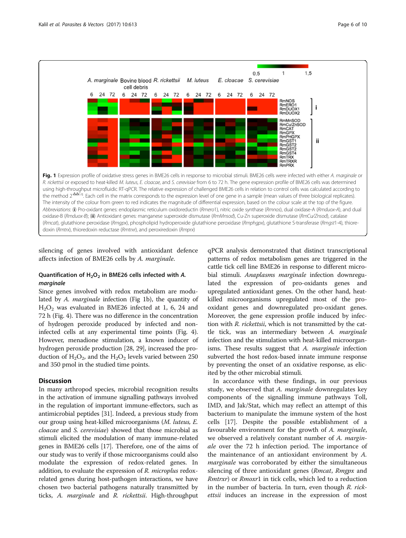<span id="page-5-0"></span>

silencing of genes involved with antioxidant defence affects infection of BME26 cells by A. marginale.

# Quantification of  $H_2O_2$  in BME26 cells infected with A. *marainale*

Since genes involved with redox metabolism are modulated by A. marginale infection (Fig 1b), the quantity of  $H<sub>2</sub>O<sub>2</sub>$  was evaluated in BME26 infected at 1, 6, 24 and 72 h (Fig. [4\)](#page-7-0). There was no difference in the concentration of hydrogen peroxide produced by infected and noninfected cells at any experimental time points (Fig. [4](#page-7-0)). However, menadione stimulation, a known inducer of hydrogen peroxide production [\[28, 29](#page-9-0)], increased the production of  $H_2O_2$ , and the  $H_2O_2$  levels varied between 250 and 350 pmol in the studied time points.

# Discussion

In many arthropod species, microbial recognition results in the activation of immune signalling pathways involved in the regulation of important immune-effectors, such as antimicrobial peptides [\[31\]](#page-9-0). Indeed, a previous study from our group using heat-killed microorganisms (M. luteus, E. cloacae and S. cerevisiae) showed that those microbial as stimuli elicited the modulation of many immune-related genes in BME26 cells [\[17\]](#page-9-0). Therefore, one of the aims of our study was to verify if those microorganisms could also modulate the expression of redox-related genes. In addition, to evaluate the expression of R. microplus redoxrelated genes during host-pathogen interactions, we have chosen two bacterial pathogens naturally transmitted by ticks, A. marginale and R. rickettsii. High-throughput

qPCR analysis demonstrated that distinct transcriptional patterns of redox metabolism genes are triggered in the cattle tick cell line BME26 in response to different microbial stimuli. Anaplasms marginale infection downregulated the expression of pro-oxidants genes and upregulated antioxidant genes. On the other hand, heatkilled microorganisms upregulated most of the prooxidant genes and downregulated pro-oxidant genes. Moreover, the gene expression profile induced by infection with R. *rickettsii*, which is not transmitted by the cattle tick, was an intermediary between A. marginale infection and the stimulation with heat-killed microorganisms. These results suggest that A. marginale infection subverted the host redox-based innate immune response by preventing the onset of an oxidative response, as elicited by the other microbial stimuli.

In accordance with these findings, in our previous study, we observed that A. marginale downregulates key components of the signalling immune pathways Toll, IMD, and Jak/Stat, which may reflect an attempt of this bacterium to manipulate the immune system of the host cells [\[17\]](#page-9-0). Despite the possible establishment of a favourable environment for the growth of A. *marginale*, we observed a relatively constant number of A. marginale over the 72 h infection period. The importance of the maintenance of an antioxidant environment by A. marginale was corroborated by either the simultaneous silencing of three antioxidant genes (Rmcat, Rmgpx and Rmtrxr) or Rmoxr1 in tick cells, which led to a reduction in the number of bacteria. In turn, even though R. rickettsii induces an increase in the expression of most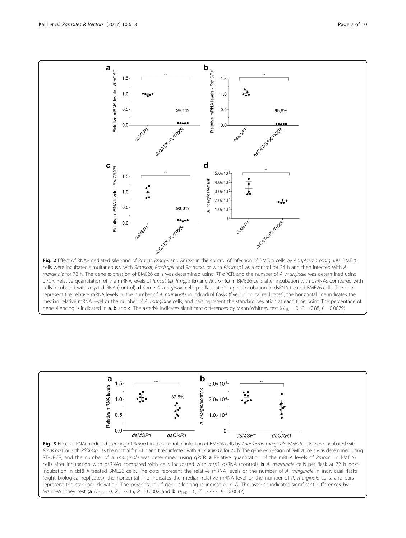<span id="page-6-0"></span>

cells incubated with msp1 dsRNA (control). d Some A. marginale cells per flask at 72 h post-incubation in dsRNA-treated BME26 cells. The dots represent the relative mRNA levels or the number of A. marginale in individual flasks (five biological replicates), the horizontal line indicates the median relative mRNA level or the number of A. marginale cells, and bars represent the standard deviation at each time point. The percentage of gene silencing is indicated in **a, b** and **c**. The asterisk indicates significant differences by Mann-Whitney test ( $U_{(10)} = 0$ ,  $Z = -2.88$ ,  $P = 0.0079$ )

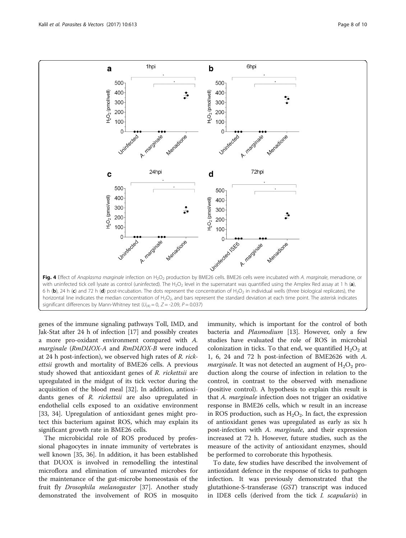<span id="page-7-0"></span>

6 h (b), 24 h (c) and 72 h (d) post-incubation. The dots represent the concentration of H<sub>2</sub>O<sub>2</sub> in individual wells (three biological replicates), the horizontal line indicates the median concentration of H<sub>2</sub>O<sub>2</sub>, and bars represent the standard deviation at each time point. The asterisk indicates significant differences by Mann-Whitney test ( $U_{(4)} = 0$ , Z = -2.09, P = 0.037)

genes of the immune signaling pathways Toll, IMD, and Jak-Stat after 24 h of infection [[17\]](#page-9-0) and possibly creates a more pro-oxidant environment compared with A. marginale (RmDUOX-A and RmDUOX-B were induced at 24 h post-infection), we observed high rates of R. rickettsii growth and mortality of BME26 cells. A previous study showed that antioxidant genes of R. rickettsii are upregulated in the midgut of its tick vector during the acquisition of the blood meal [[32](#page-9-0)]. In addition, antioxidants genes of R. rickettsii are also upregulated in endothelial cells exposed to an oxidative environment [[33, 34](#page-9-0)]. Upregulation of antioxidant genes might protect this bacterium against ROS, which may explain its significant growth rate in BME26 cells.

The microbicidal role of ROS produced by professional phagocytes in innate immunity of vertebrates is well known [[35, 36](#page-9-0)]. In addition, it has been established that DUOX is involved in remodelling the intestinal microflora and elimination of unwanted microbes for the maintenance of the gut-microbe homeostasis of the fruit fly Drosophila melanogaster [\[37\]](#page-9-0). Another study demonstrated the involvement of ROS in mosquito

immunity, which is important for the control of both bacteria and Plasmodium [[13](#page-9-0)]. However, only a few studies have evaluated the role of ROS in microbial colonization in ticks. To that end, we quantified  $H_2O_2$  at 1, 6, 24 and 72 h post-infection of BME2626 with A. *marginale*. It was not detected an augment of  $H_2O_2$  production along the course of infection in relation to the control, in contrast to the observed with menadione (positive control). A hypothesis to explain this result is that A. marginale infection does not trigger an oxidative response in BME26 cells, which w result in an increase in ROS production, such as  $H_2O_2$ . In fact, the expression of antioxidant genes was upregulated as early as six h post-infection with A. marginale, and their expression increased at 72 h. However, future studies, such as the measure of the activity of antioxidant enzymes, should be performed to corroborate this hypothesis.

To date, few studies have described the involvement of antioxidant defence in the response of ticks to pathogen infection. It was previously demonstrated that the glutathione-S-transferase (GST) transcript was induced in IDE8 cells (derived from the tick I. scapularis) in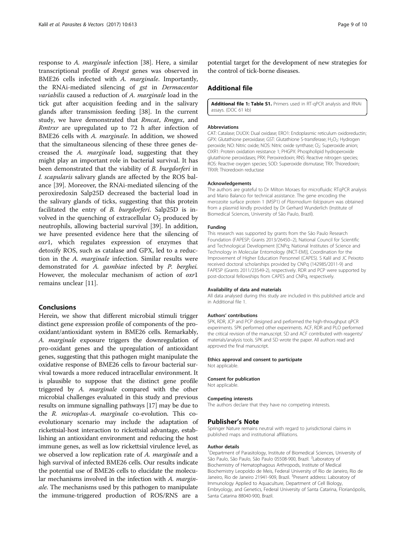<span id="page-8-0"></span>response to A. marginale infection [\[38](#page-9-0)]. Here, a similar transcriptional profile of Rmgst genes was observed in BME26 cells infected with A. marginale. Importantly, the RNAi-mediated silencing of gst in Dermacentor variabilis caused a reduction of A. marginale load in the tick gut after acquisition feeding and in the salivary glands after transmission feeding [\[38](#page-9-0)]. In the current study, we have demonstrated that *Rmcat*, *Rmgpx*, and Rmtrxr are upregulated up to 72 h after infection of BME26 cells with A. marginale. In addition, we showed that the simultaneous silencing of these three genes decreased the A. marginale load, suggesting that they might play an important role in bacterial survival. It has been demonstrated that the viability of *B. burgdorferi* in I. scapularis salivary glands are affected by the ROS balance [[39](#page-9-0)]. Moreover, the RNAi-mediated silencing of the peroxiredoxin Salp25D decreased the bacterial load in the salivary glands of ticks, suggesting that this protein facilitated the entry of B. burgdorferi. Salp25D is involved in the quenching of extracellular  $O<sub>2</sub>$  produced by neutrophils, allowing bacterial survival [[39\]](#page-9-0). In addition, we have presented evidence here that the silencing of oxr1, which regulates expression of enzymes that detoxify ROS, such as catalase and GPX, led to a reduction in the A. marginale infection. Similar results were demonstrated for A. gambiae infected by P. berghei. However, the molecular mechanism of action of oxr1 remains unclear [\[11](#page-9-0)].

# Conclusions

Herein, we show that different microbial stimuli trigger distinct gene expression profile of components of the prooxidant/antioxidant system in BME26 cells. Remarkably, A. marginale exposure triggers the downregulation of pro-oxidant genes and the upregulation of antioxidant genes, suggesting that this pathogen might manipulate the oxidative response of BME26 cells to favour bacterial survival towards a more reduced intracellular environment. It is plausible to suppose that the distinct gene profile triggered by A. marginale compared with the other microbial challenges evaluated in this study and previous results on immune signalling pathways [\[17\]](#page-9-0) may be due to the R. microplus-A. marginale co-evolution. This coevolutionary scenario may include the adaptation of rickettsial-host interaction to rickettsial advantage, establishing an antioxidant environment and reducing the host immune genes, as well as low rickettsial virulence level, as we observed a low replication rate of A. marginale and a high survival of infected BME26 cells. Our results indicate the potential use of BME26 cells to elucidate the molecular mechanisms involved in the infection with A. marginale. The mechanisms used by this pathogen to manipulate the immune-triggered production of ROS/RNS are a

potential target for the development of new strategies for the control of tick-borne diseases.

# Additional file

[Additional file 1: Table S1.](dx.doi.org/10.1186/s13071-017-2575-9) Primers used in RT-qPCR analysis and RNAi assays. (DOC 61 kb)

#### Abbreviations

CAT: Catalase; DUOX: Dual oxidase; ERO1: Endoplasmic reticulum oxidoreductin; GPX: Glutathione peroxidase; GST: Glutathione S-transferase; H<sub>2</sub>O<sub>2</sub>: Hydrogen peroxide; NO: Nitric oxide; NOS: Nitric oxide synthase; O<sub>2</sub>: Superoxide anion OXR1: Protein oxidation resistance 1; PHGPX: Phospholipid hydroperoxide glutathione peroxidases; PRX: Peroxiredoxin; RNS: Reactive nitrogen species; ROS: Reactive oxygen species; SOD: Superoxide dismutase; TRX: Thioredoxin; TRXR: Thioredoxin reductase

#### Acknowledgements

The authors are grateful to Dr Milton Moraes for microfluidic RTqPCR analysis and Mario Balanco for technical assistance. The gene encoding the merozoite surface protein 1 (MSP1) of Plasmodium falciparum was obtained from a plasmid kindly provided by Dr Gerhard Wunderlich (Institute of Biomedical Sciences, University of São Paulo, Brazil).

#### Funding

This research was supported by grants from the São Paulo Research Foundation (FAPESP; Grants 2013/26450–2), National Council for Scientific and Technological Development [CNPq; National Institutes of Science and Technology in Molecular Entomology (INCT-EM)], Coordination for the Improvement of Higher Education Personnel (CAPES). S Kalil and JC Peixoto received doctoral scholarships provided by CNPq (142985/2011-9) and FAPESP (Grants 2011/23549-2), respectively. RDR and PCP were supported by post-doctoral fellowships from CAPES and CNPq, respectively.

#### Availability of data and materials

All data analysed during this study are included in this published article and in Additional file 1.

#### Authors' contributions

SPK, RDR, JCP and PCP designed and performed the high-throughput qPCR experiments. SPK performed other experiments. ACF, RDR and PLO performed the critical revision of the manuscript. SD and ACF contributed with reagents/ materials/analysis tools. SPK and SD wrote the paper. All authors read and approved the final manuscript.

#### Ethics approval and consent to participate

Not applicable.

#### Consent for publication

Not applicable.

#### Competing interests

The authors declare that they have no competing interests.

#### Publisher's Note

Springer Nature remains neutral with regard to jurisdictional claims in published maps and institutional affiliations.

#### Author details

<sup>1</sup>Department of Parasitology, Institute of Biomedical Sciences, University of São Paulo, São Paulo, São Paulo 05508-900, Brazil. <sup>2</sup>Laboratory of Biochemistry of Hematophagous Arthropods, Institute of Medical Biochemistry Leopoldo de Meis, Federal University of Rio de Janeiro, Rio de Janeiro, Rio de Janeiro 21941-909, Brazil. <sup>3</sup>Present address: Laboratory of Immunology Applied to Aquaculture, Department of Cell Biology, Embryology, and Genetics, Federal University of Santa Catarina, Florianópolis, Santa Catarina 88040-900, Brazil.